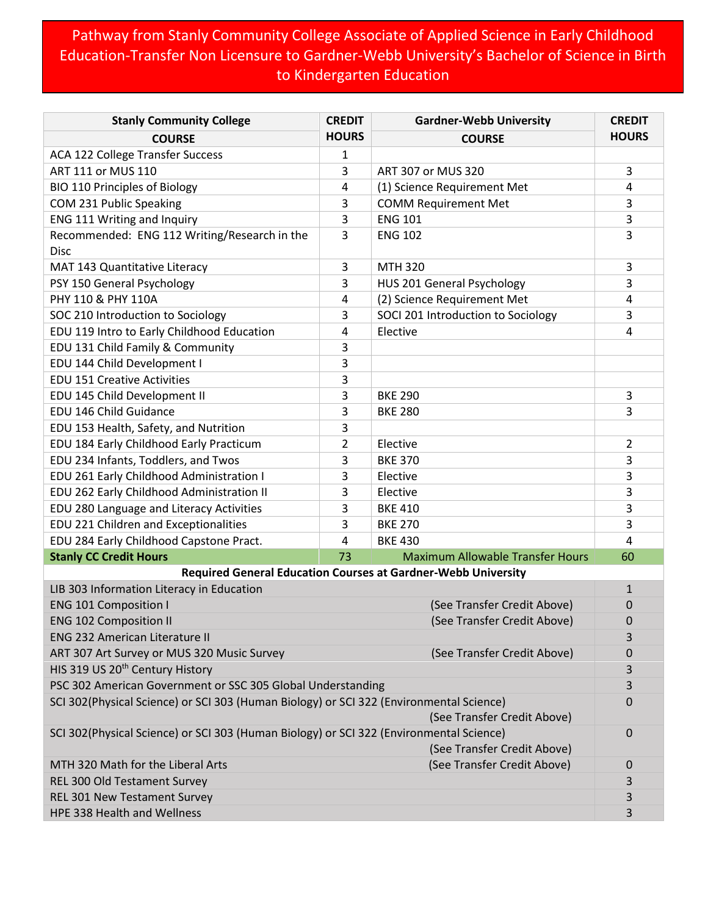## Pathway from Stanly Community College Associate of Applied Science in Early Childhood Education-Transfer Non Licensure to Gardner-Webb University's Bachelor of Science in Birth to Kindergarten Education

| <b>Stanly Community College</b>                                                                                        | <b>CREDIT</b>               | <b>Gardner-Webb University</b>          | <b>CREDIT</b> |  |
|------------------------------------------------------------------------------------------------------------------------|-----------------------------|-----------------------------------------|---------------|--|
| <b>COURSE</b>                                                                                                          | <b>HOURS</b>                | <b>COURSE</b>                           | <b>HOURS</b>  |  |
| ACA 122 College Transfer Success                                                                                       | 1                           |                                         |               |  |
| ART 111 or MUS 110                                                                                                     | 3                           | ART 307 or MUS 320                      | 3             |  |
| <b>BIO 110 Principles of Biology</b>                                                                                   | 4                           | (1) Science Requirement Met             | 4             |  |
| COM 231 Public Speaking                                                                                                | 3                           | <b>COMM Requirement Met</b>             | 3             |  |
| ENG 111 Writing and Inquiry                                                                                            | 3                           | <b>ENG 101</b>                          | 3             |  |
| Recommended: ENG 112 Writing/Research in the                                                                           | 3                           | <b>ENG 102</b>                          | 3             |  |
| <b>Disc</b>                                                                                                            |                             |                                         |               |  |
| MAT 143 Quantitative Literacy                                                                                          | 3                           | <b>MTH 320</b>                          | 3             |  |
| PSY 150 General Psychology                                                                                             | 3                           | HUS 201 General Psychology              | 3             |  |
| PHY 110 & PHY 110A                                                                                                     | 4                           | (2) Science Requirement Met             | 4             |  |
| SOC 210 Introduction to Sociology                                                                                      | 3                           | SOCI 201 Introduction to Sociology      | 3             |  |
| EDU 119 Intro to Early Childhood Education                                                                             | 4                           | Elective                                | 4             |  |
| EDU 131 Child Family & Community                                                                                       | 3                           |                                         |               |  |
| EDU 144 Child Development I                                                                                            | 3                           |                                         |               |  |
| <b>EDU 151 Creative Activities</b>                                                                                     | 3                           |                                         |               |  |
| EDU 145 Child Development II                                                                                           | 3                           | <b>BKE 290</b>                          | 3             |  |
| EDU 146 Child Guidance                                                                                                 | 3                           | <b>BKE 280</b>                          | 3             |  |
| EDU 153 Health, Safety, and Nutrition                                                                                  | 3                           |                                         |               |  |
| EDU 184 Early Childhood Early Practicum                                                                                | 2                           | Elective                                | 2             |  |
| EDU 234 Infants, Toddlers, and Twos                                                                                    | 3                           | <b>BKE 370</b>                          | 3             |  |
| EDU 261 Early Childhood Administration I                                                                               | 3                           | Elective                                | 3             |  |
| EDU 262 Early Childhood Administration II                                                                              | 3                           | Elective                                | 3             |  |
| EDU 280 Language and Literacy Activities                                                                               | 3                           | <b>BKE 410</b>                          | 3             |  |
| EDU 221 Children and Exceptionalities                                                                                  | 3                           | <b>BKE 270</b>                          | 3             |  |
| EDU 284 Early Childhood Capstone Pract.                                                                                | 4                           | <b>BKE 430</b>                          | 4             |  |
| <b>Stanly CC Credit Hours</b>                                                                                          | 73                          | <b>Maximum Allowable Transfer Hours</b> | 60            |  |
| <b>Required General Education Courses at Gardner-Webb University</b>                                                   |                             |                                         |               |  |
| LIB 303 Information Literacy in Education                                                                              |                             |                                         |               |  |
| <b>ENG 101 Composition I</b>                                                                                           |                             | (See Transfer Credit Above)             |               |  |
| <b>ENG 102 Composition II</b>                                                                                          |                             | 0                                       |               |  |
| <b>ENG 232 American Literature II</b>                                                                                  |                             |                                         |               |  |
| ART 307 Art Survey or MUS 320 Music Survey                                                                             | (See Transfer Credit Above) |                                         |               |  |
| HIS 319 US 20 <sup>th</sup> Century History                                                                            |                             |                                         | 3             |  |
| PSC 302 American Government or SSC 305 Global Understanding                                                            |                             |                                         | 3             |  |
| SCI 302(Physical Science) or SCI 303 (Human Biology) or SCI 322 (Environmental Science)<br>(See Transfer Credit Above) |                             |                                         |               |  |
| SCI 302(Physical Science) or SCI 303 (Human Biology) or SCI 322 (Environmental Science)<br>(See Transfer Credit Above) |                             |                                         |               |  |
| MTH 320 Math for the Liberal Arts                                                                                      |                             | (See Transfer Credit Above)             | 0             |  |
| REL 300 Old Testament Survey                                                                                           |                             |                                         | 3             |  |
| <b>REL 301 New Testament Survey</b>                                                                                    |                             |                                         | 3             |  |
| HPE 338 Health and Wellness                                                                                            |                             |                                         | 3             |  |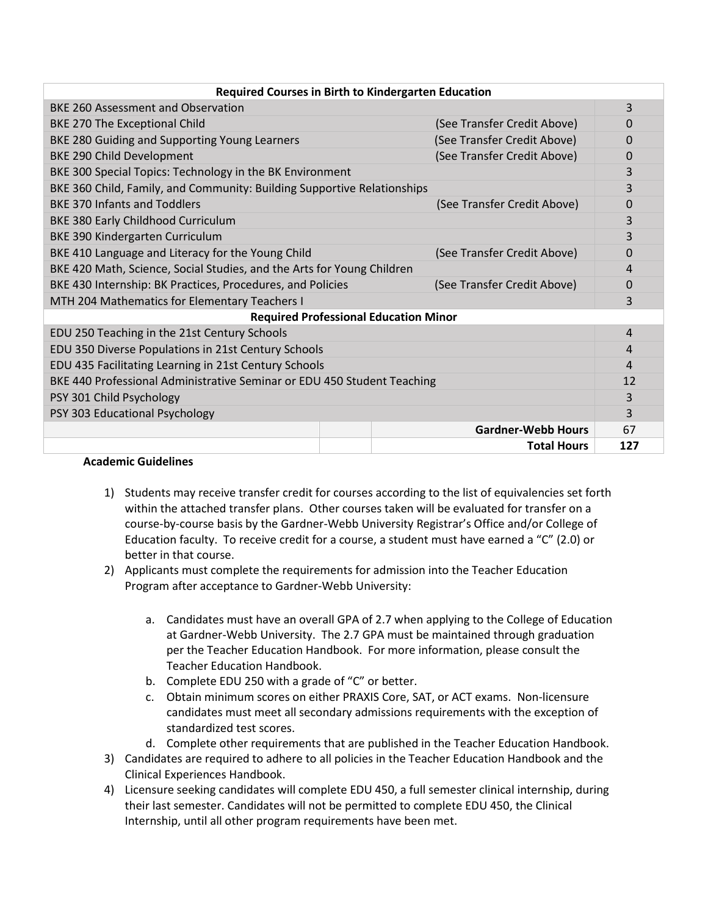| <b>Required Courses in Birth to Kindergarten Education</b>                       |  |                             |     |  |  |
|----------------------------------------------------------------------------------|--|-----------------------------|-----|--|--|
| <b>BKE 260 Assessment and Observation</b>                                        |  |                             | 3   |  |  |
| BKE 270 The Exceptional Child                                                    |  | (See Transfer Credit Above) | 0   |  |  |
| BKE 280 Guiding and Supporting Young Learners                                    |  | (See Transfer Credit Above) | 0   |  |  |
| BKE 290 Child Development                                                        |  | (See Transfer Credit Above) | 0   |  |  |
| BKE 300 Special Topics: Technology in the BK Environment                         |  |                             | 3   |  |  |
| BKE 360 Child, Family, and Community: Building Supportive Relationships          |  |                             |     |  |  |
| <b>BKE 370 Infants and Toddlers</b>                                              |  | (See Transfer Credit Above) | 0   |  |  |
| BKE 380 Early Childhood Curriculum                                               |  |                             | 3   |  |  |
| <b>BKE 390 Kindergarten Curriculum</b>                                           |  |                             |     |  |  |
| BKE 410 Language and Literacy for the Young Child<br>(See Transfer Credit Above) |  |                             | 0   |  |  |
| BKE 420 Math, Science, Social Studies, and the Arts for Young Children           |  |                             |     |  |  |
| BKE 430 Internship: BK Practices, Procedures, and Policies                       |  | (See Transfer Credit Above) | 0   |  |  |
| MTH 204 Mathematics for Elementary Teachers I                                    |  |                             | 3   |  |  |
| <b>Required Professional Education Minor</b>                                     |  |                             |     |  |  |
| EDU 250 Teaching in the 21st Century Schools                                     |  |                             | 4   |  |  |
| EDU 350 Diverse Populations in 21st Century Schools                              |  |                             | 4   |  |  |
| EDU 435 Facilitating Learning in 21st Century Schools                            |  |                             | 4   |  |  |
| BKE 440 Professional Administrative Seminar or EDU 450 Student Teaching          |  |                             | 12  |  |  |
| PSY 301 Child Psychology                                                         |  |                             | 3   |  |  |
| PSY 303 Educational Psychology                                                   |  |                             | 3   |  |  |
|                                                                                  |  | <b>Gardner-Webb Hours</b>   | 67  |  |  |
|                                                                                  |  | <b>Total Hours</b>          | 127 |  |  |

## **Academic Guidelines**

- 1) Students may receive transfer credit for courses according to the list of equivalencies set forth within the attached transfer plans. Other courses taken will be evaluated for transfer on a course-by-course basis by the Gardner-Webb University Registrar's Office and/or College of Education faculty. To receive credit for a course, a student must have earned a "C" (2.0) or better in that course.
- 2) Applicants must complete the requirements for admission into the Teacher Education Program after acceptance to Gardner-Webb University:
	- a. Candidates must have an overall GPA of 2.7 when applying to the College of Education at Gardner-Webb University. The 2.7 GPA must be maintained through graduation per the Teacher Education Handbook. For more information, please consult the Teacher Education Handbook.
	- b. Complete EDU 250 with a grade of "C" or better.
	- c. Obtain minimum scores on either PRAXIS Core, SAT, or ACT exams. Non-licensure candidates must meet all secondary admissions requirements with the exception of standardized test scores.
	- d. Complete other requirements that are published in the Teacher Education Handbook.
- 3) Candidates are required to adhere to all policies in the Teacher Education Handbook and the Clinical Experiences Handbook.
- 4) Licensure seeking candidates will complete EDU 450, a full semester clinical internship, during their last semester. Candidates will not be permitted to complete EDU 450, the Clinical Internship, until all other program requirements have been met.